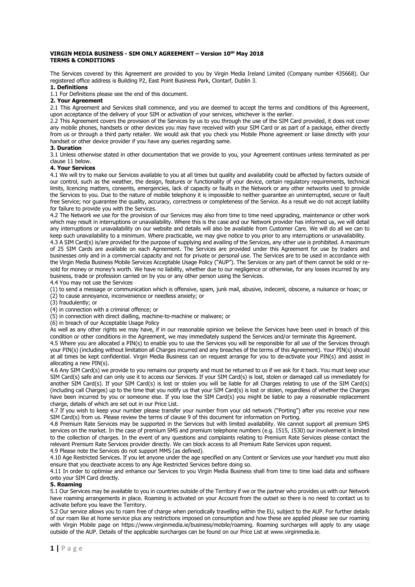#### **VIRGIN MEDIA BUSINESS - SIM ONLY AGREEMENT – Version 10tH May 2018 TERMS & CONDITIONS**

The Services covered by this Agreement are provided to you by Virgin Media Ireland Limited (Company number 435668). Our registered office address is Building P2, East Point Business Park, Clontarf, Dublin 3.

#### **1. Definitions**

1.1 For Definitions please see the end of this document.

# **2. Your Agreement**

2.1 This Agreement and Services shall commence, and you are deemed to accept the terms and conditions of this Agreement, upon acceptance of the delivery of your SIM or activation of your services, whichever is the earlier.

2.2 This Agreement covers the provision of the Services by us to you through the use of the SIM Card provided, it does not cover any mobile phones, handsets or other devices you may have received with your SIM Card or as part of a package, either directly from us or through a third party retailer. We would ask that you check you Mobile Phone agreement or liaise directly with your handset or other device provider if you have any queries regarding same.

#### **3. Duration**

3.1 Unless otherwise stated in other documentation that we provide to you, your Agreement continues unless terminated as per clause 11 below.

### **4. Your Services**

4.1 We will try to make our Services available to you at all times but quality and availability could be affected by factors outside of our control, such as the weather, the design, features or functionality of your device, certain regulatory requirements, technical limits, licencing matters, consents, emergencies, lack of capacity or faults in the Network or any other networks used to provide the Services to you. Due to the nature of mobile telephony it is impossible to neither guarantee an uninterrupted, secure or fault free Service; nor guarantee the quality, accuracy, correctness or completeness of the Service. As a result we do not accept liability for failure to provide you with the Services.

4.2 The Network we use for the provision of our Services may also from time to time need upgrading, maintenance or other work which may result in interruptions or unavailability. Where this is the case and our Network provider has informed us, we will detail any interruptions or unavailability on our website and details will also be available from Customer Care. We will do all we can to keep such unavailability to a minimum. Where practicable, we may give notice to you prior to any interruptions or unavailability.

4.3 A SIM Card(s) is/are provided for the purpose of supplying and availing of the Services, any other use is prohibited. A maximum of 25 SIM Cards are available on each Agreement. The Services are provided under this Agreement for use by traders and businesses only and in a commercial capacity and not for private or personal use. The Services are to be used in accordance with the Virgin Media Business Mobile Services Acceptable Usage Policy ("AUP"). The Services or any part of them cannot be sold or resold for money or money's worth. We have no liability, whether due to our negligence or otherwise, for any losses incurred by any business, trade or profession carried on by you or any other person using the Services.

4.4 You may not use the Services

(1) to send a message or communication which is offensive, spam, junk mail, abusive, indecent, obscene, a nuisance or hoax; or (2) to cause annoyance, inconvenience or needless anxiety; or

(3) fraudulently; or

(4) in connection with a criminal offence; or

(5) in connection with direct dialling, machine-to-machine or malware; or

(6) in breach of our Acceptable Usage Policy

As well as any other rights we may have, if in our reasonable opinion we believe the Services have been used in breach of this condition or other conditions in the Agreement, we may immediately suspend the Services and/or terminate this Agreement.

4.5 Where you are allocated a PIN(s) to enable you to use the Services you will be responsible for all use of the Services through your PIN(s) (including without limitation all Charges incurred and any breaches of the terms of this Agreement). Your PIN(s) should at all times be kept confidential. Virgin Media Business can on request arrange for you to de-activate your PIN(s) and assist in allocating a new PIN(s).

4.6 Any SIM Card(s) we provide to you remains our property and must be returned to us if we ask for it back. You must keep your SIM Card(s) safe and can only use it to access our Services. If your SIM Card(s) is lost, stolen or damaged call us immediately for another SIM Card(s). If your SIM Card(s) is lost or stolen you will be liable for all Charges relating to use of the SIM Card(s) (including call Charges) up to the time that you notify us that your SIM Card(s) is lost or stolen, regardless of whether the Charges have been incurred by you or someone else. If you lose the SIM Card(s) you might be liable to pay a reasonable replacement charge, details of which are set out in our Price List.

4.7 If you wish to keep your number please transfer your number from your old network ("Porting") after you receive your new SIM Card(s) from us. Please review the terms of clause 9 of this document for information on Porting.

4.8 Premium Rate Services may be supported in the Services but with limited availability. We cannot support all premium SMS services on the market. In the case of premium SMS and premium telephone numbers (e.g. 1515, 1530) our involvement is limited to the collection of charges. In the event of any questions and complaints relating to Premium Rate Services please contact the relevant Premium Rate Services provider directly. We can block access to all Premium Rate Services upon request. 4.9 Please note the Services do not support MMS (as defined).

4.10 Age Restricted Services. If you let anyone under the age specified on any Content or Services use your handset you must also ensure that you deactivate access to any Age Restricted Services before doing so.

4.11 In order to optimise and enhance our Services to you Virgin Media Business shall from time to time load data and software onto your SIM Card directly.

#### **5. Roaming**

5.1 Our Services may be available to you in countries outside of the Territory if we or the partner who provides us with our Network have roaming arrangements in place. Roaming is activated on your Account from the outset so there is no need to contact us to activate before you leave the Territory.

5.2 Our service allows you to roam free of charge when periodically travelling within the EU, subject to the AUP. For further details of our roam like at home service plus any restrictions imposed on consumption and how these are applied please see our roaming with Virgin Mobile page on [https://www.virginmedia.ie/business/mobile/roaming.](https://www.virginmedia.ie/business/mobile/roaming) Roaming surcharges will apply to any usage outside of the AUP. Details of the applicable surcharges can be found on our Price List at www.virginmedia.ie.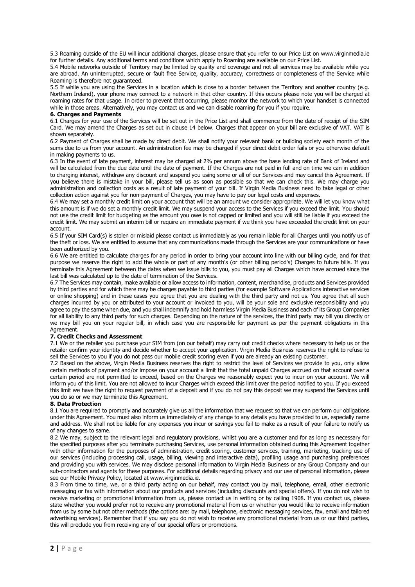5.3 Roaming outside of the EU will incur additional charges, please ensure that you refer to our Price List on www.virginmedia.ie for further details. Any additional terms and conditions which apply to Roaming are available on our Price List.

5.4 Mobile networks outside of Territory may be limited by quality and coverage and not all services may be available while you are abroad. An uninterrupted, secure or fault free Service, quality, accuracy, correctness or completeness of the Service while Roaming is therefore not guaranteed.

5.5 If while you are using the Services in a location which is close to a border between the Territory and another country (e.g. Northern Ireland), your phone may connect to a network in that other country. If this occurs please note you will be charged at roaming rates for that usage. In order to prevent that occurring, please monitor the network to which your handset is connected while in those areas. Alternatively, you may contact us and we can disable roaming for you if you require.

### **6. Charges and Payments**

6.1 Charges for your use of the Services will be set out in the Price List and shall commence from the date of receipt of the SIM Card. We may amend the Charges as set out in clause 14 below. Charges that appear on your bill are exclusive of VAT. VAT is shown separately.

6.2 Payment of Charges shall be made by direct debit. We shall notify your relevant bank or building society each month of the sums due to us from your account. An administration fee may be charged if your direct debit order fails or you otherwise default in making payments to us.

6.3 In the event of late payment, interest may be charged at 2% per annum above the base lending rate of Bank of Ireland and will be calculated from the due date until the date of payment. If the Charges are not paid in full and on time we can in addition to charging interest, withdraw any discount and suspend you using some or all of our Services and may cancel this Agreement. If you believe there is mistake in your bill, please tell us as soon as possible so that we can check this. We may charge you administration and collection costs as a result of late payment of your bill. If Virgin Media Business need to take legal or other collection action against you for non-payment of Charges, you may have to pay our legal costs and expenses.

6.4 We may set a monthly credit limit on your account that will be an amount we consider appropriate. We will let you know what this amount is if we do set a monthly credit limit. We may suspend your access to the Services if you exceed the limit. You should not use the credit limit for budgeting as the amount you owe is not capped or limited and you will still be liable if you exceed the credit limit. We may submit an interim bill or require an immediate payment if we think you have exceeded the credit limit on your account.

6.5 If your SIM Card(s) is stolen or mislaid please contact us immediately as you remain liable for all Charges until you notify us of the theft or loss. We are entitled to assume that any communications made through the Services are your communications or have been authorized by you.

6.6 We are entitled to calculate charges for any period in order to bring your account into line with our billing cycle, and for that purpose we reserve the right to add the whole or part of any month's (or other billing period's) Charges to future bills. If you terminate this Agreement between the dates when we issue bills to you, you must pay all Charges which have accrued since the last bill was calculated up to the date of termination of the Services.

6.7 The Services may contain, make available or allow access to information, content, merchandise, products and Services provided by third parties and for which there may be charges payable to third parties (for example Software Applications interactive services or online shopping) and in these cases you agree that you are dealing with the third party and not us. You agree that all such charges incurred by you or attributed to your account or invoiced to you, will be your sole and exclusive responsibility and you agree to pay the same when due, and you shall indemnify and hold harmless Virgin Media Business and each of its Group Companies for all liability to any third party for such charges. Depending on the nature of the services, the third party may bill you directly or we may bill you on your regular bill, in which case you are responsible for payment as per the payment obligations in this Agreement.

# **7. Credit Checks and Assessment**

7.1 We or the retailer you purchase your SIM from (on our behalf) may carry out credit checks where necessary to help us or the retailer confirm your identity and decide whether to accept your application. Virgin Media Business reserves the right to refuse to sell the Services to you if you do not pass our mobile credit scoring even if you are already an existing customer.

7.2 Based on the above, Virgin Media Business reserves the right to restrict the level of Services we provide to you, only allow certain methods of payment and/or impose on your account a limit that the total unpaid Charges accrued on that account over a certain period are not permitted to exceed, based on the Charges we reasonably expect you to incur on your account. We will inform you of this limit. You are not allowed to incur Charges which exceed this limit over the period notified to you. If you exceed this limit we have the right to request payment of a deposit and if you do not pay this deposit we may suspend the Services until you do so or we may terminate this Agreement.

# **8. Data Protection**

8.1 You are required to promptly and accurately give us all the information that we request so that we can perform our obligations under this Agreement. You must also inform us immediately of any change to any details you have provided to us, especially name and address. We shall not be liable for any expenses you incur or savings you fail to make as a result of your failure to notify us of any changes to same.

8.2 We may, subject to the relevant legal and regulatory provisions, whilst you are a customer and for as long as necessary for the specified purposes after you terminate purchasing Services, use personal information obtained during this Agreement together with other information for the purposes of administration, credit scoring, customer services, training, marketing, tracking use of our services (including processing call, usage, billing, viewing and interactive data), profiling usage and purchasing preferences and providing you with services. We may disclose personal information to Virgin Media Business or any Group Company and our sub-contractors and agents for these purposes. For additional details regarding privacy and our use of personal information, please see our Mobile Privacy Policy, located at www.virginmedia.ie.

8.3 From time to time, we, or a third party acting on our behalf, may contact you by mail, telephone, email, other electronic messaging or fax with information about our products and services (including discounts and special offers). If you do not wish to receive marketing or promotional information from us, please contact us in writing or by calling 1908. If you contact us, please state whether you would prefer not to receive any promotional material from us or whether you would like to receive information from us by some but not other methods (the options are: by mail, telephone, electronic messaging services, fax, email and tailored advertising services). Remember that if you say you do not wish to receive any promotional material from us or our third parties, this will preclude you from receiving any of our special offers or promotions.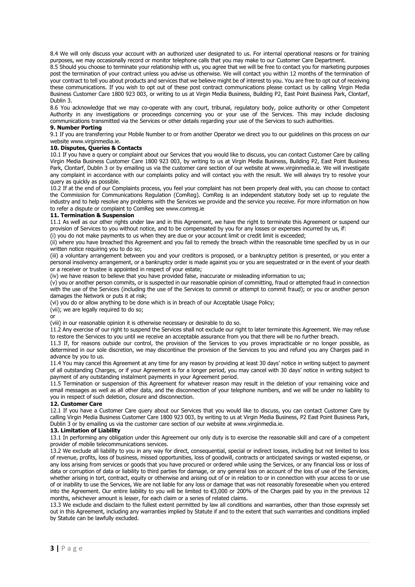8.4 We will only discuss your account with an authorized user designated to us. For internal operational reasons or for training purposes, we may occasionally record or monitor telephone calls that you may make to our Customer Care Department.

8.5 Should you choose to terminate your relationship with us, you agree that we will be free to contact you for marketing purposes post the termination of your contract unless you advise us otherwise. We will contact you within 12 months of the termination of your contract to tell you about products and services that we believe might be of interest to you. You are free to opt out of receiving these communications. If you wish to opt out of these post contract communications please contact us by calling Virgin Media Business Customer Care 1800 923 003, or writing to us at Virgin Media Business, Building P2, East Point Business Park, Clontarf, Dublin 3.

8.6 You acknowledge that we may co-operate with any court, tribunal, regulatory body, police authority or other Competent Authority in any investigations or proceedings concerning you or your use of the Services. This may include disclosing communications transmitted via the Services or other details regarding your use of the Services to such authorities.

### **9. Number Porting**

9.1 If you are transferring your Mobile Number to or from another Operator we direct you to our guidelines on this process on our website www.virginmedia.ie.

# **10. Disputes, Queries & Contacts**

10.1 If you have a query or complaint about our Services that you would like to discuss, you can contact Customer Care by calling Virgin Media Business Customer Care 1800 923 003, by writing to us at Virgin Media Business, Building P2, East Point Business Park, Clontarf, Dublin 3 or by emailing us via the customer care section of our website at www.virginmedia.ie. We will investigate any complaint in accordance with our complaints policy and will contact you with the result. We will always try to resolve your query as quickly as possible.

10.2 If at the end of our Complaints process, you feel your complaint has not been properly deal with, you can choose to contact the Commission for Communications Regulation (ComReg). ComReg is an independent statutory body set up to regulate the industry and to help resolve any problems with the Services we provide and the service you receive. For more information on how to refer a dispute or complaint to ComReg see www.comreg.ie

# **11. Termination & Suspension**

11.1 As well as our other rights under law and in this Agreement, we have the right to terminate this Agreement or suspend our provision of Services to you without notice, and to be compensated by you for any losses or expenses incurred by us, if: (i) you do not make payments to us when they are due or your account limit or credit limit is exceeded;

(ii) where you have breached this Agreement and you fail to remedy the breach within the reasonable time specified by us in our written notice requiring you to do so:

(iii) a voluntary arrangement between you and your creditors is proposed, or a bankruptcy petition is presented, or you enter a personal insolvency arrangement, or a bankruptcy order is made against you or you are sequestrated or in the event of your death or a receiver or trustee is appointed in respect of your estate;

(iv) we have reason to believe that you have provided false, inaccurate or misleading information to us;

(v) you or another person commits, or is suspected in our reasonable opinion of committing, fraud or attempted fraud in connection with the use of the Services (including the use of the Services to commit or attempt to commit fraud); or you or another person damages the Network or puts it at risk;

(vi) you do or allow anything to be done which is in breach of our Acceptable Usage Policy;

(vii); we are legally required to do so;

or

(viii) in our reasonable opinion it is otherwise necessary or desirable to do so.

11.2 Any exercise of our right to suspend the Services shall not exclude our right to later terminate this Agreement. We may refuse to restore the Services to you until we receive an acceptable assurance from you that there will be no further breach.

11.3 If, for reasons outside our control, the provision of the Services to you proves impracticable or no longer possible, as determined in our sole discretion, we may discontinue the provision of the Services to you and refund you any Charges paid in advance by you to us.

11.4 You may cancel this Agreement at any time for any reason by providing at least 30 days' notice in writing subject to payment of all outstanding Charges, or if your Agreement is for a longer period, you may cancel with 30 days' notice in writing subject to payment of any outstanding instalment payments in your Agreement period.

11.5 Termination or suspension of this Agreement for whatever reason may result in the deletion of your remaining voice and email messages as well as all other data, and the disconnection of your telephone numbers, and we will be under no liability to you in respect of such deletion, closure and disconnection.

# **12. Customer Care**

12.1 If you have a Customer Care query about our Services that you would like to discuss, you can contact Customer Care by calling Virgin Media Business Customer Care 1800 923 003, by writing to us at Virgin Media Business, P2 East Point Business Park, Dublin 3 or by emailing us via the customer care section of our website at www.virginmedia.ie.

# **13. Limitation of Liability**

13.1 In performing any obligation under this Agreement our only duty is to exercise the reasonable skill and care of a competent provider of mobile telecommunications services.

13.2 We exclude all liability to you in any way for direct, consequential, special or indirect losses, including but not limited to loss of revenue, profits, loss of business, missed opportunities, loss of goodwill, contracts or anticipated savings or wasted expense, or any loss arising from services or goods that you have procured or ordered while using the Services, or any financial loss or loss of data or corruption of data or liability to third parties for damage, or any general loss on account of the loss of use of the Services, whether arising in tort, contract, equity or otherwise and arising out of or in relation to or in connection with your access to or use of or inability to use the Services, We are not liable for any loss or damage that was not reasonably foreseeable when you entered into the Agreement. Our entire liability to you will be limited to €3,000 or 200% of the Charges paid by you in the previous 12 months, whichever amount is lesser, for each claim or a series of related claims.

13.3 We exclude and disclaim to the fullest extent permitted by law all conditions and warranties, other than those expressly set out in this Agreement, including any warranties implied by Statute if and to the extent that such warranties and conditions implied by Statute can be lawfully excluded.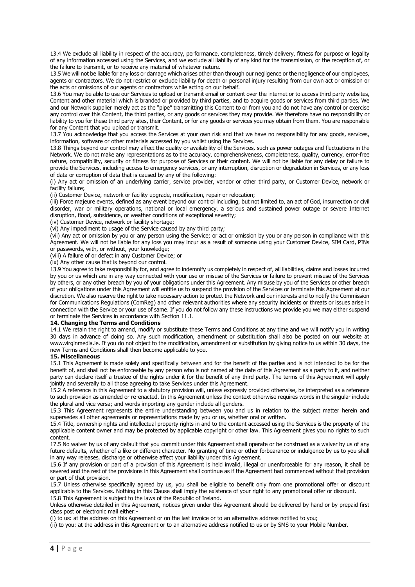13.4 We exclude all liability in respect of the accuracy, performance, completeness, timely delivery, fitness for purpose or legality of any information accessed using the Services, and we exclude all liability of any kind for the transmission, or the reception of, or the failure to transmit, or to receive any material of whatever nature.

13.5 We will not be liable for any loss or damage which arises other than through our negligence or the negligence of our employees, agents or contractors. We do not restrict or exclude liability for death or personal injury resulting from our own act or omission or the acts or omissions of our agents or contractors while acting on our behalf.

13.6 You may be able to use our Services to upload or transmit email or content over the internet or to access third party websites, Content and other material which is branded or provided by third parties, and to acquire goods or services from third parties. We and our Network supplier merely act as the "pipe" transmitting this Content to or from you and do not have any control or exercise any control over this Content, the third parties, or any goods or services they may provide. We therefore have no responsibility or liability to you for these third party sites, their Content, or for any goods or services you may obtain from them. You are responsible for any Content that you upload or transmit.

13.7 You acknowledge that you access the Services at your own risk and that we have no responsibility for any goods, services, information, software or other materials accessed by you whilst using the Services.

13.8 Things beyond our control may affect the quality or availability of the Services, such as power outages and fluctuations in the Network. We do not make any representations as to the accuracy, comprehensiveness, completeness, quality, currency, error-free nature, compatibility, security or fitness for purpose of Services or their content. We will not be liable for any delay or failure to provide the Services, including access to emergency services, or any interruption, disruption or degradation in Services, or any loss of data or corruption of data that is caused by any of the following:

(i) Any act or omission of an underlying carrier, service provider, vendor or other third party, or Customer Device, network or facility failure;

(ii) Customer Device, network or facility upgrade, modification, repair or relocation;

(iii) Force majeure events, defined as any event beyond our control including, but not limited to, an act of God, insurrection or civil disorder, war or military operations, national or local emergency, a serious and sustained power outage or severe Internet disruption, flood, subsidence, or weather conditions of exceptional severity;

(iv) Customer Device, network or facility shortage;

(vi) Any impediment to usage of the Service caused by any third party;

(vii) Any act or omission by you or any person using the Service; or act or omission by you or any person in compliance with this Agreement. We will not be liable for any loss you may incur as a result of someone using your Customer Device, SIM Card, PINs or passwords, with, or without, your knowledge;

(viii) A failure of or defect in any Customer Device; or

(ix) Any other cause that is beyond our control.

13.9 You agree to take responsibility for, and agree to indemnify us completely in respect of, all liabilities, claims and losses incurred by you or us which are in any way connected with your use or misuse of the Services or failure to prevent misuse of the Services by others, or any other breach by you of your obligations under this Agreement. Any misuse by you of the Services or other breach of your obligations under this Agreement will entitle us to suspend the provision of the Services or terminate this Agreement at our discretion. We also reserve the right to take necessary action to protect the Network and our interests and to notify the Commission for Communications Regulations (ComReg) and other relevant authorities where any security incidents or threats or issues arise in connection with the Service or your use of same. If you do not follow any these instructions we provide you we may either suspend or terminate the Services in accordance with Section 11.1.

#### **14. Changing the Terms and Conditions**

14.1 We retain the right to amend, modify or substitute these Terms and Conditions at any time and we will notify you in writing 30 days in advance of doing so. Any such modification, amendment or substitution shall also be posted on our website at www.virginmedia.ie. If you do not object to the modification, amendment or substitution by giving notice to us within 30 days, the new Terms and Conditions shall then become applicable to you.

# **15. Miscellaneous**

15.1 This Agreement is made solely and specifically between and for the benefit of the parties and is not intended to be for the benefit of, and shall not be enforceable by any person who is not named at the date of this Agreement as a party to it, and neither party can declare itself a trustee of the rights under it for the benefit of any third party. The terms of this Agreement will apply jointly and severally to all those agreeing to take Services under this Agreement.

15.2 A reference in this Agreement to a statutory provision will, unless expressly provided otherwise, be interpreted as a reference to such provision as amended or re-enacted. In this Agreement unless the context otherwise requires words in the singular include the plural and vice versa; and words importing any gender include all genders.

15.3 This Agreement represents the entire understanding between you and us in relation to the subject matter herein and supersedes all other agreements or representations made by you or us, whether oral or written.

15.4 Title, ownership rights and intellectual property rights in and to the content accessed using the Services is the property of the applicable content owner and may be protected by applicable copyright or other law. This Agreement gives you no rights to such content.

17.5 No waiver by us of any default that you commit under this Agreement shall operate or be construed as a waiver by us of any future defaults, whether of a like or different character. No granting of time or other forbearance or indulgence by us to you shall in any way releases, discharge or otherwise affect your liability under this Agreement.

15.6 If any provision or part of a provision of this Agreement is held invalid, illegal or unenforceable for any reason, it shall be severed and the rest of the provisions in this Agreement shall continue as if the Agreement had commenced without that provision or part of that provision.

15.7 Unless otherwise specifically agreed by us, you shall be eligible to benefit only from one promotional offer or discount applicable to the Services. Nothing in this Clause shall imply the existence of your right to any promotional offer or discount. 15.8 This Agreement is subject to the laws of the Republic of Ireland.

Unless otherwise detailed in this Agreement, notices given under this Agreement should be delivered by hand or by prepaid first class post or electronic mail either:-

(i) to us: at the address on this Agreement or on the last invoice or to an alternative address notified to you;

(ii) to you: at the address in this Agreement or to an alternative address notified to us or by SMS to your Mobile Number.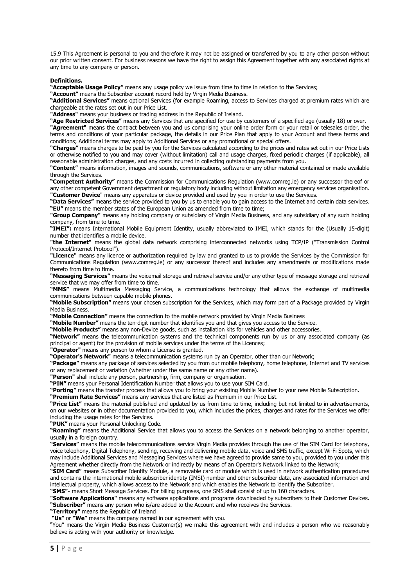15.9 This Agreement is personal to you and therefore it may not be assigned or transferred by you to any other person without our prior written consent. For business reasons we have the right to assign this Agreement together with any associated rights at any time to any company or person.

**Definitions.** 

**"Acceptable Usage Policy"** means any usage policy we issue from time to time in relation to the Services;

**"Account"** means the Subscriber account record held by Virgin Media Business.

**"Additional Services"** means optional Services (for example Roaming, access to Services charged at premium rates which are chargeable at the rates set out in our Price List.

**"Address"** means your business or trading address in the Republic of Ireland.

**"Age Restricted Services"** means any Services that are specified for use by customers of a specified age (usually 18) or over.

**"Agreement"** means the contract between you and us comprising your online order form or your retail or telesales order, the terms and conditions of your particular package, the details in our Price Plan that apply to your Account and these terms and conditions; Additional terms may apply to Additional Services or any promotional or special offers.

**"Charges"** means charges to be paid by you for the Services calculated according to the prices and rates set out in our Price Lists or otherwise notified to you and may cover (without limitation) call and usage charges, fixed periodic charges (if applicable), all reasonable administration charges, and any costs incurred in collecting outstanding payments from you.

**"Content"** means information, images and sounds, communications, software or any other material contained or made available through the Services.

**"Competent Authority"** means the Commission for Communications Regulation (www.comreg.ie) or any successor thereof or any other competent Government department or regulatory body including without limitation any emergency services organisation. **"Customer Device**" means any apparatus or device provided and used by you in order to use the Services.

**"Data Services"** means the service provided to you by us to enable you to gain access to the Internet and certain data services. **"EU"** means the member states of the European Union as amended from time to time;

**"Group Company"** means any holding company or subsidiary of Virgin Media Business, and any subsidiary of any such holding company, from time to time.

**"IMEI":** means International Mobile Equipment Identity, usually abbreviated to IMEI, which stands for the (Usually 15-digit) number that identifies a mobile device.

**"the Internet"** means the global data network comprising interconnected networks using TCP/IP ("Transmission Control Protocol/Internet Protocol").

**"Licence"** means any licence or authorization required by law and granted to us to provide the Services by the Commission for Communications Regulation (www.comreg.ie) or any successor thereof and includes any amendments or modifications made thereto from time to time.

**"Messaging Services"** means the voicemail storage and retrieval service and/or any other type of message storage and retrieval service that we may offer from time to time.

**"MMS"** means Multimedia Messaging Service, a communications technology that allows the exchange of multimedia communications between capable mobile phones.

**"Mobile Subscription"** means your chosen subscription for the Services, which may form part of a Package provided by Virgin Media Business.

**"Mobile Connection"** means the connection to the mobile network provided by Virgin Media Business

**"Mobile Number"** means the ten-digit number that identifies you and that gives you access to the Service.

**"Mobile Products"** means any non-Device goods, such as installation kits for vehicles and other accessories.

**"Network"** means the telecommunication systems and the technical components run by us or any associated company (as principal or agent) for the provision of mobile services under the terms of the Licences;

**"Operator"** means any person to whom a License is granted.

**"Operator's Network"** means a telecommunication systems run by an Operator, other than our Network;

**"Package"** means any package of services selected by you from our mobile telephony, home telephone, Internet and TV services or any replacement or variation (whether under the same name or any other name).

**"Person"** shall include any person, partnership, firm, company or organisation.

**"PIN"** means your Personal Identification Number that allows you to use your SIM Card.

**"Porting"** means the transfer process that allows you to bring your existing Mobile Number to your new Mobile Subscription.

**"Premium Rate Services"** means any services that are listed as Premium in our Price List.

**"Price List"** means the material published and updated by us from time to time, including but not limited to in advertisements, on our websites or in other documentation provided to you, which includes the prices, charges and rates for the Services we offer including the usage rates for the Services.

**"PUK"** means your Personal Unlocking Code.

**"Roaming"** means the Additional Service that allows you to access the Services on a network belonging to another operator, usually in a foreign country.

**"Services"** means the mobile telecommunications service Virgin Media provides through the use of the SIM Card for telephony, voice telephony, Digital Telephony, sending, receiving and delivering mobile data, voice and SMS traffic, except Wi-Fi Spots, which may include Additional Services and Messaging Services where we have agreed to provide same to you, provided to you under this Agreement whether directly from the Network or indirectly by means of an Operator's Network linked to the Network;

**"SIM Card"** means Subscriber Identity Module, a removable card or module which is used in network authentication procedures and contains the international mobile subscriber identity (IMSI) number and other subscriber data, any associated information and intellectual property, which allows access to the Network and which enables the Network to identify the Subscriber.

**"SMS"-** means Short Message Services. For billing purposes, one SMS shall consist of up to 160 characters.

**"Software Applications"** means any software applications and programs downloaded by subscribers to their Customer Devices. **"Subscriber"** means any person who is/are added to the Account and who receives the Services.

**"Territory"** means the Republic of Ireland

**"Us"** or **"We"** means the company named in our agreement with you.

"You" means the Virgin Media Business Customer(s) we make this agreement with and includes a person who we reasonably believe is acting with your authority or knowledge.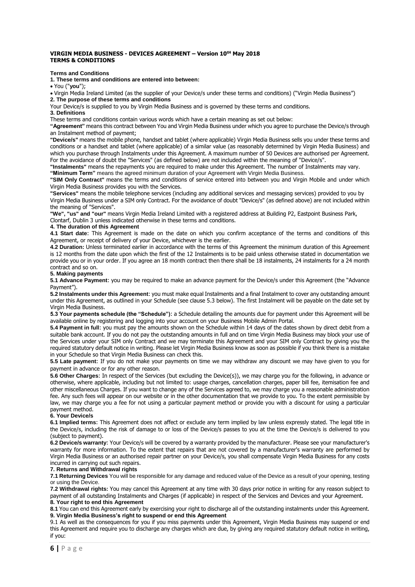### **VIRGIN MEDIA BUSINESS - DEVICES AGREEMENT – Version 10tH May 2018 TERMS & CONDITIONS**

# **Terms and Conditions**

**1. These terms and conditions are entered into between:**

You ("**you**");

Virgin Media Ireland Limited (as the supplier of your Device/s under these terms and conditions) ("Virgin Media Business") **2. The purpose of these terms and conditions**

Your Device/s is supplied to you by Virgin Media Business and is governed by these terms and conditions.

**3. Definitions**

These terms and conditions contain various words which have a certain meaning as set out below:

**"Agreement"** means this contract between You and Virgin Media Business under which you agree to purchase the Device/s through an Instalment method of payment;

**"Device/s"** means the mobile phone, handset and tablet (where applicable) Virgin Media Business sells you under these terms and conditions or a handset and tablet (where applicable) of a similar value (as reasonably determined by Virgin Media Business) and which you purchase through Instalments under this Agreement. A maximum number of 50 Devices are authorised per Agreement. For the avoidance of doubt the "Services" (as defined below) are not included within the meaning of "Device/s".

**"Instalments"** means the repayments you are required to make under this Agreement. The number of Instalments may vary. **"Minimum Term"** means the agreed minimum duration of your Agreement with Virgin Media Business.

**"SIM Only Contract"** means the terms and conditions of service entered into between you and Virgin Mobile and under which Virgin Media Business provides you with the Services.

**"Services"** means the mobile telephone services (including any additional services and messaging services) provided to you by Virgin Media Business under a SIM only Contract. For the avoidance of doubt "Device/s" (as defined above) are not included within the meaning of "Services".

**"We", "us" and "our"** means Virgin Media Ireland Limited with a registered address at Building P2, Eastpoint Business Park, Clontarf, Dublin 3 unless indicated otherwise in these terms and conditions.

#### **4. The duration of this Agreement**

**4.1 Start date**: This Agreement is made on the date on which you confirm acceptance of the terms and conditions of this Agreement, or receipt of delivery of your Device, whichever is the earlier.

**4.2 Duration:** Unless terminated earlier in accordance with the terms of this Agreement the minimum duration of this Agreement is 12 months from the date upon which the first of the 12 Instalments is to be paid unless otherwise stated in documentation we provide you or in your order. If you agree an 18 month contract then there shall be 18 instalments, 24 instalments for a 24 month contract and so on.

## **5. Making payments**

**5.1 Advance Payment**: you may be required to make an advance payment for the Device/s under this Agreement (the "Advance Payment").

**5.2 Instalments under this Agreement**: you must make equal Instalments and a final Instalment to cover any outstanding amount under this Agreement, as outlined in your Schedule (see clause 5.3 below). The first Instalment will be payable on the date set by Virgin Media Business.

**5.3 Your payments schedule (the "Schedule")**: a Schedule detailing the amounts due for payment under this Agreement will be available online by registering and logging into your account on your Business Mobile Admin Portal.

**5.4 Payment in full**: you must pay the amounts shown on the Schedule within 14 days of the dates shown by direct debit from a suitable bank account. If you do not pay the outstanding amounts in full and on time Virgin Media Business may block your use of the Services under your SIM only Contract and we may terminate this Agreement and your SIM only Contract by giving you the required statutory default notice in writing. Please let Virgin Media Business know as soon as possible if you think there is a mistake in your Schedule so that Virgin Media Business can check this.

**5.5 Late payment**: If you do not make your payments on time we may withdraw any discount we may have given to you for payment in advance or for any other reason.

**5.6 Other Charges**: In respect of the Services (but excluding the Device(s)), we may charge you for the following, in advance or otherwise, where applicable, including but not limited to: usage charges, cancellation charges, paper bill fee, itemisation fee and other miscellaneous Charges. If you want to change any of the Services agreed to, we may charge you a reasonable administration fee. Any such fees will appear on our website or in the other documentation that we provide to you. To the extent permissible by law, we may charge you a fee for not using a particular payment method or provide you with a discount for using a particular payment method.

# **6. Your Device/s**

**6.1 Implied terms**: This Agreement does not affect or exclude any term implied by law unless expressly stated. The legal title in the Device/s, including the risk of damage to or loss of the Device/s passes to you at the time the Device/s is delivered to you (subject to payment).

**6.2 Device/s warranty**: Your Device/s will be covered by a warranty provided by the manufacturer. Please see your manufacturer's warranty for more information. To the extent that repairs that are not covered by a manufacturer's warranty are performed by Virgin Media Business or an authorised repair partner on your Device/s, you shall compensate Virgin Media Business for any costs incurred in carrying out such repairs.

#### **7. Returns and Withdrawal rights**

**7.1 Returning Devices** You will be responsible for any damage and reduced value of the Device as a result of your opening, testing or using the Device.

**7.2 Withdrawal rights:** You may cancel this Agreement at any time with 30 days prior notice in writing for any reason subject to payment of all outstanding Instalments and Charges (if applicable) in respect of the Services and Devices and your Agreement. **8. Your right to end this Agreement**

**8.1** You can end this Agreement early by exercising your right to discharge all of the outstanding instalments under this Agreement. **9. Virgin Media Business's right to suspend or end this Agreement**

9.1 As well as the consequences for you if you miss payments under this Agreement, Virgin Media Business may suspend or end this Agreement and require you to discharge any charges which are due, by giving any required statutory default notice in writing, if you: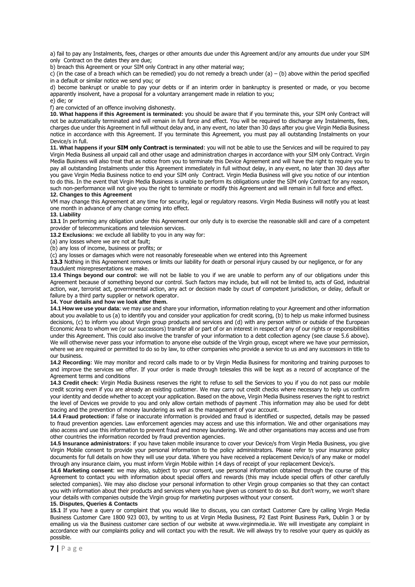a) fail to pay any Instalments, fees, charges or other amounts due under this Agreement and/or any amounts due under your SIM only Contract on the dates they are due;

b) breach this Agreement or your SIM only Contract in any other material way;

c) (in the case of a breach which can be remedied) you do not remedy a breach under (a) – (b) above within the period specified in a default or similar notice we send you; or

d) become bankrupt or unable to pay your debts or if an interim order in bankruptcy is presented or made, or you become apparently insolvent, have a proposal for a voluntary arrangement made in relation to you;

e) die; or

f) are convicted of an offence involving dishonesty.

**10. What happens if this Agreement is terminated:** you should be aware that if you terminate this, your SIM only Contract will not be automatically terminated and will remain in full force and effect. You will be required to discharge any Instalments, fees, charges due under this Agreement in full without delay and, in any event, no later than 30 days after you give Virgin Media Business notice in accordance with this Agreement. If you terminate this Agreement, you must pay all outstanding Instalments on your Device/s in full.

**11. What happens if your SIM only Contract is terminated**: you will not be able to use the Services and will be required to pay Virgin Media Business all unpaid call and other usage and administration charges in accordance with your SIM only Contract. Virgin Media Business will also treat that as notice from you to terminate this Device Agreement and will have the right to require you to pay all outstanding Instalments under this Agreement immediately in full without delay, in any event, no later than 30 days after you gave Virgin Media Business notice to end your SIM only Contract. Virgin Media Business will give you notice of our intention to do this. In the event that Virgin Media Business is unable to perform its obligations under the SIM only Contract for any reason, such non-performance will not give you the right to terminate or modify this Agreement and will remain in full force and effect. **12. Changes to this Agreement**

VM may change this Agreement at any time for security, legal or regulatory reasons. Virgin Media Business will notify you at least one month in advance of any change coming into effect.

**13. Liability 13.1** In performing any obligation under this Agreement our only duty is to exercise the reasonable skill and care of a competent provider of telecommunications and television services.

**13.2 Exclusions**: we exclude all liability to you in any way for:

(a) any losses where we are not at fault;

(b) any loss of income, business or profits; or

(c) any losses or damages which were not reasonably foreseeable when we entered into this Agreement

**13.3** Nothing in this Agreement removes or limits our liability for death or personal injury caused by our negligence, or for any fraudulent misrepresentations we make

**13.4 Things beyond our control**: we will not be liable to you if we are unable to perform any of our obligations under this Agreement because of something beyond our control. Such factors may include, but will not be limited to, acts of God, industrial action, war, terrorist act, governmental action, any act or decision made by court of competent jurisdiction, or delay, default or failure by a third party supplier or network operator.

# **14. Your details and how we look after them.**

**14.1 How we use your data**: we may use and share your information, information relating to your Agreement and other information about you available to us (a) to identify you and consider your application for credit scoring, (b) to help us make informed business decisions, (c) to inform you about Virgin group products and services and (d) with any person within or outside of the European Economic Area to whom we (or our successors) transfer all or part of or an interest in respect of any of our rights or responsibilities under this Agreement. This could also involve the transfer of your information to a debt collection agency (see clause 5.6 above). We will otherwise never pass your information to anyone else outside of the Virgin group, except where we have your permission, where we are required or permitted to do so by law, to other companies who provide a service to us and any successors in title to our business.

**14.2 Recording**: We may monitor and record calls made to or by Virgin Media Business for monitoring and training purposes to and improve the services we offer. If your order is made through telesales this will be kept as a record of acceptance of the Agreement terms and conditions

**14.3 Credit check**: Virgin Media Business reserves the right to refuse to sell the Services to you if you do not pass our mobile credit scoring even if you are already an existing customer. We may carry out credit checks where necessary to help us confirm your identity and decide whether to accept your application. Based on the above, Virgin Media Business reserves the right to restrict the level of Devices we provide to you and only allow certain methods of payment .This information may also be used for debt tracing and the prevention of money laundering as well as the management of your account.

**14.4 Fraud protection**: if false or inaccurate information is provided and fraud is identified or suspected, details may be passed to fraud prevention agencies. Law enforcement agencies may access and use this information. We and other organisations may also access and use this information to prevent fraud and money laundering. We and other organisations may access and use from other countries the information recorded by fraud prevention agencies.

**14.5 Insurance administrators**: if you have taken mobile insurance to cover your Device/s from Virgin Media Business, you give Virgin Mobile consent to provide your personal information to the policy administrators. Please refer to your insurance policy documents for full details on how they will use your data. Where you have received a replacement Device/s of any make or model through any insurance claim, you must inform Virgin Mobile within 14 days of receipt of your replacement Device/s.

**14.6 Marketing consent**: we may also, subject to your consent, use personal information obtained through the course of this Agreement to contact you with information about special offers and rewards (this may include special offers of other carefully selected companies). We may also disclose your personal information to other Virgin group companies so that they can contact you with information about their products and services where you have given us consent to do so. But don't worry, we won't share your details with companies outside the Virgin group for marketing purposes without your consent.

#### **15. Disputes, Queries & Contacts**

**15.1** If you have a query or complaint that you would like to discuss, you can contact Customer Care by calling Virgin Media Business Customer Care 1800 923 003, by writing to us at Virgin Media Business, P2 East Point Business Park, Dublin 3 or by emailing us via the Business customer care section of our website at www.virginmedia.ie. We will investigate any complaint in accordance with our complaints policy and will contact you with the result. We will always try to resolve your query as quickly as possible.